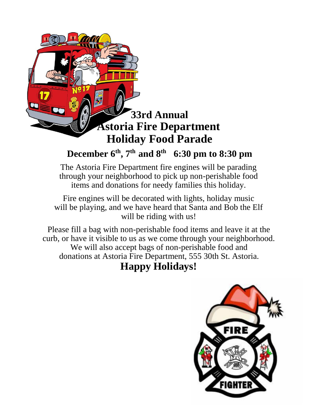

## **December 6th, 7th and 8th 6:30 pm to 8:30 pm**

The Astoria Fire Department fire engines will be parading through your neighborhood to pick up non-perishable food items and donations for needy families this holiday.

Fire engines will be decorated with lights, holiday music will be playing, and we have heard that Santa and Bob the Elf will be riding with us!

Please fill a bag with non-perishable food items and leave it at the curb, or have it visible to us as we come through your neighborhood. We will also accept bags of non-perishable food and donations at Astoria Fire Department, 555 30th St. Astoria.

### **Happy Holidays!**